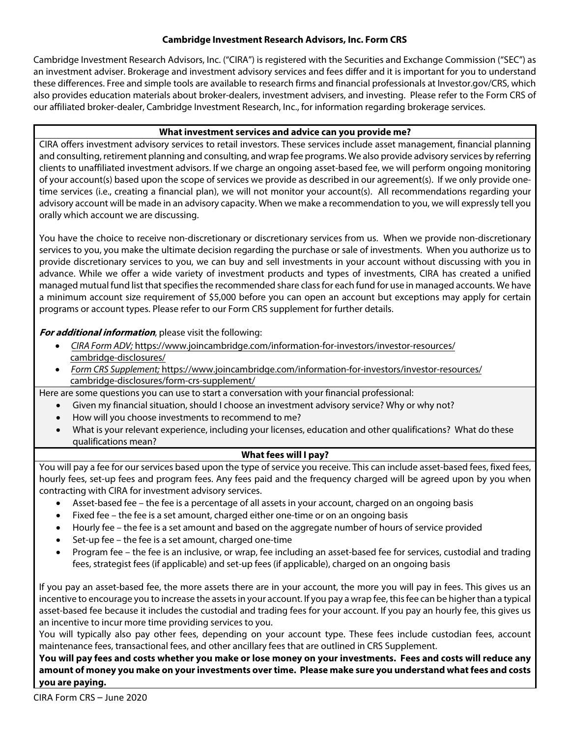### **Cambridge Investment Research Advisors, Inc. Form CRS**

Cambridge Investment Research Advisors, Inc. ("CIRA") is registered with the Securities and Exchange Commission ("SEC") as an investment adviser. Brokerage and investment advisory services and fees differ and it is important for you to understand these differences. Free and simple tools are available to research firms and financial professionals at Investor.gov/CRS, which also provides education materials about broker-dealers, investment advisers, and investing. Please refer to the Form CRS of our affiliated broker-dealer, Cambridge Investment Research, Inc., for information regarding brokerage services.

### **What investment services and advice can you provide me?**

CIRA offers investment advisory services to retail investors. These services include asset management, financial planning and consulting, retirement planning and consulting, and wrap fee programs. We also provide advisory services by referring clients to unaffiliated investment advisors. If we charge an ongoing asset-based fee, we will perform ongoing monitoring of your account(s) based upon the scope of services we provide as described in our agreement(s). If we only provide onetime services (i.e., creating a financial plan), we will not monitor your account(s). All recommendations regarding your advisory account will be made in an advisory capacity. When we make a recommendation to you, we will expressly tell you orally which account we are discussing.

You have the choice to receive non-discretionary or discretionary services from us. When we provide non-discretionary services to you, you make the ultimate decision regarding the purchase or sale of investments. When you authorize us to provide discretionary services to you, we can buy and sell investments in your account without discussing with you in advance. While we offer a wide variety of investment products and types of investments, CIRA has created a unified managed mutual fund list that specifies the recommended share class for each fund for use in managed accounts. We have a minimum account size requirement of \$5,000 before you can open an account but exceptions may apply for certain programs or account types. Please refer to our Form CRS supplement for further details.

### **For additional information**, please visit the following:

- CIRA Form ADV; [https://www.joincambridge.com/information-for-investors/investor-resources/](https://www.joincambridge.com/information-for-investors/investor-resources/cambridge-disclosures) cambridge-disclosures/
- Form CRS Supplement; [https://www.joincambridge.com/information-for-investors/investor-resources/](https://www.joincambridge.com/information-for-investors/investor-resources/cambridge-disclosures/form-crs-supplement/) cambridge-disclosures/form-crs-supplement/
- Here are some questions you can use to start a conversation with your financial professional:
	- Given my financial situation, should I choose an investment advisory service? Why or why not?
	- How will you choose investments to recommend to me?
	- What is your relevant experience, including your licenses, education and other qualifications? What do these qualifications mean?

# **What fees will I pay?**

You will pay a fee for our services based upon the type of service you receive. This can include asset-based fees, fixed fees, hourly fees, set-up fees and program fees. Any fees paid and the frequency charged will be agreed upon by you when contracting with CIRA for investment advisory services.

- Asset-based fee the fee is a percentage of all assets in your account, charged on an ongoing basis
- Fixed fee the fee is a set amount, charged either one-time or on an ongoing basis
- Hourly fee the fee is a set amount and based on the aggregate number of hours of service provided
- Set-up fee the fee is a set amount, charged one-time
- Program fee the fee is an inclusive, or wrap, fee including an asset-based fee for services, custodial and trading fees, strategist fees (if applicable) and set-up fees (if applicable), charged on an ongoing basis

If you pay an asset-based fee, the more assets there are in your account, the more you will pay in fees. This gives us an incentive to encourage you to increase the assets in your account. If you pay a wrap fee, this fee can be higher than a typical asset-based fee because it includes the custodial and trading fees for your account. If you pay an hourly fee, this gives us an incentive to incur more time providing services to you.

You will typically also pay other fees, depending on your account type. These fees include custodian fees, account maintenance fees, transactional fees, and other ancillary fees that are outlined in CRS Supplement.

**You will pay fees and costs whether you make or lose money on your investments. Fees and costs will reduce any amount of money you make on your investments over time. Please make sure you understand what fees and costs you are paying.**